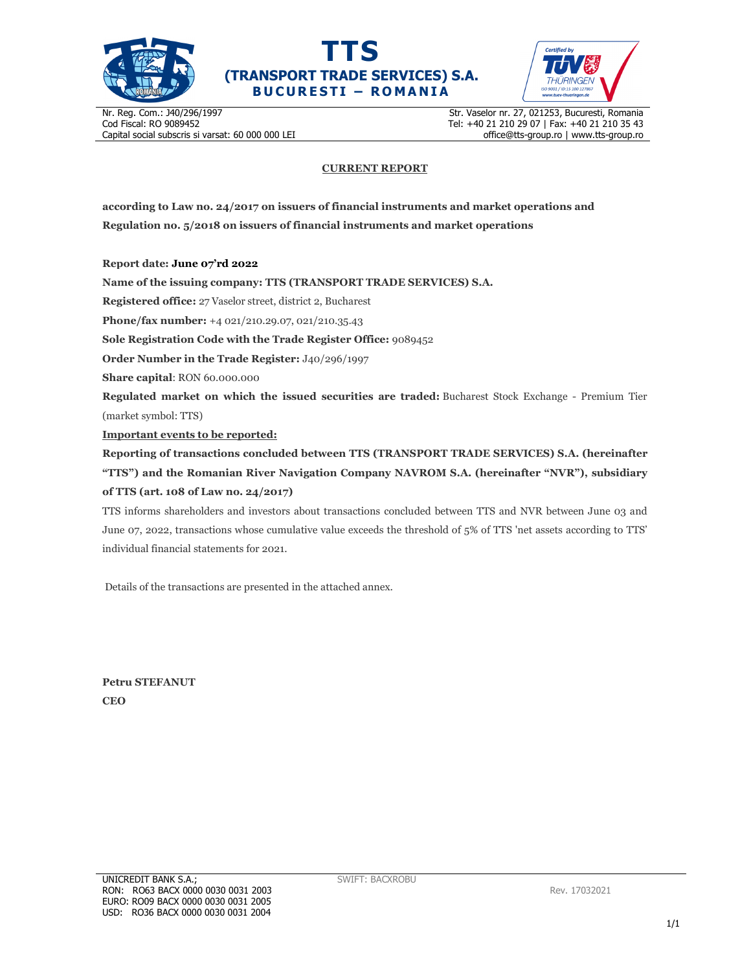





Nr. Reg. Com.: J40/296/1997 Cod Fiscal: RO 9089452 Capital social subscris si varsat: 60 000 000 LEI Str. Vaselor nr. 27, 021253, Bucuresti, Romania Tel: +40 21 210 29 07 | Fax: +40 21 210 35 43 office@tts-group.ro | www.tts-group.ro

## **CURRENT REPORT**

**according to Law no. 24/2017 on issuers of financial instruments and market operations and Regulation no. 5/2018 on issuers of financial instruments and market operations** 

**Report date: June 07'rd 2022**

**Name of the issuing company: TTS (TRANSPORT TRADE SERVICES) S.A.**

**Registered office:** 27 Vaselor street, district 2, Bucharest

**Phone/fax number:** +4 021/210.29.07, 021/210.35.43

**Sole Registration Code with the Trade Register Office:** 9089452

**Order Number in the Trade Register:** J40/296/1997

**Share capital**: RON 60.000.000

**Regulated market on which the issued securities are traded:** Bucharest Stock Exchange - Premium Tier (market symbol: TTS)

**Important events to be reported:**

**Reporting of transactions concluded between TTS (TRANSPORT TRADE SERVICES) S.A. (hereinafter "TTS") and the Romanian River Navigation Company NAVROM S.A. (hereinafter "NVR"), subsidiary of TTS (art. 108 of Law no. 24/2017)** 

TTS informs shareholders and investors about transactions concluded between TTS and NVR between June 03 and June 07, 2022, transactions whose cumulative value exceeds the threshold of 5% of TTS 'net assets according to TTS' individual financial statements for 2021.

Details of the transactions are presented in the attached annex.

**Petru STEFANUT CEO**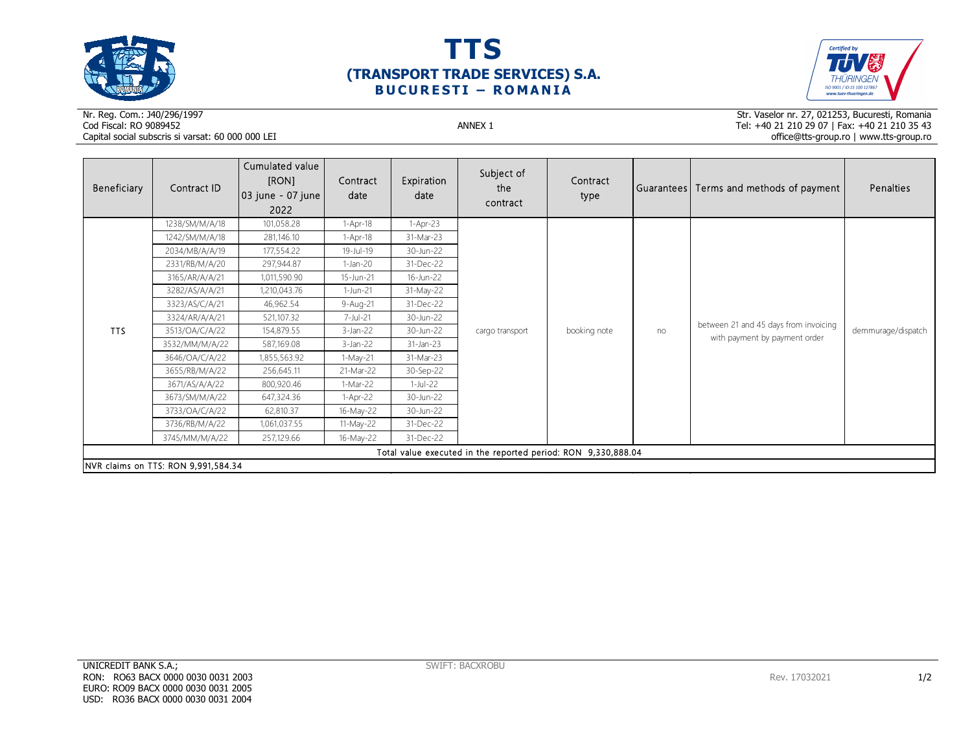





## Nr. Reg. Com.: J40/296/1997Cod Fiscal: RO 9089452 ANNEX 1 Capital social subscris si varsat: 60 000 000 LEI

Str. Vaselor nr. 27, 021253, Bucuresti, Romania Tel: +40 21 210 29 07 | Fax: +40 21 210 35 43 office@tts-group.ro | www.tts-group.ro

| Beneficiary                                                   | Contract ID    | Cumulated value<br>[RON]<br>03 june - 07 june  <br>2022 | Contract<br>date | Expiration<br>date | Subject of<br>the<br>contract | Contract<br>type |    | Guarantees  Terms and methods of payment                               | Penalties          |  |
|---------------------------------------------------------------|----------------|---------------------------------------------------------|------------------|--------------------|-------------------------------|------------------|----|------------------------------------------------------------------------|--------------------|--|
| <b>TTS</b>                                                    | 1238/SM/M/A/18 | 101,058.28                                              | $1-Apr-18$       | $1-Apr-23$         | cargo transport               | booking note     | no | between 21 and 45 days from invoicing<br>with payment by payment order | demmurage/dispatch |  |
|                                                               | 1242/SM/M/A/18 | 281,146.10                                              | $1-Apr-18$       | 31-Mar-23          |                               |                  |    |                                                                        |                    |  |
|                                                               | 2034/MB/A/A/19 | 177,554.22                                              | 19-Jul-19        | 30-Jun-22          |                               |                  |    |                                                                        |                    |  |
|                                                               | 2331/RB/M/A/20 | 297,944.87                                              | $1-Jan-20$       | 31-Dec-22          |                               |                  |    |                                                                        |                    |  |
|                                                               | 3165/AR/A/A/21 | 1,011,590.90                                            | 15-Jun-21        | 16-Jun-22          |                               |                  |    |                                                                        |                    |  |
|                                                               | 3282/AS/A/A/21 | 1,210,043.76                                            | 1-Jun-21         | 31-May-22          |                               |                  |    |                                                                        |                    |  |
|                                                               | 3323/AS/C/A/21 | 46,962.54                                               | 9-Aug-21         | 31-Dec-22          |                               |                  |    |                                                                        |                    |  |
|                                                               | 3324/AR/A/A/21 | 521,107.32                                              | 7-Jul-21         | 30-Jun-22          |                               |                  |    |                                                                        |                    |  |
|                                                               | 3513/OA/C/A/22 | 154,879.55                                              | $3$ -Jan-22      | 30-Jun-22          |                               |                  |    |                                                                        |                    |  |
|                                                               | 3532/MM/M/A/22 | 587,169.08                                              | $3-Jan-22$       | 31-Jan-23          |                               |                  |    |                                                                        |                    |  |
|                                                               | 3646/OA/C/A/22 | 1,855,563.92                                            | 1-May-21         | 31-Mar-23          |                               |                  |    |                                                                        |                    |  |
|                                                               | 3655/RB/M/A/22 | 256,645.11                                              | 21-Mar-22        | 30-Sep-22          |                               |                  |    |                                                                        |                    |  |
|                                                               | 3671/AS/A/A/22 | 800,920.46                                              | 1-Mar-22         | $1-Jul-22$         |                               |                  |    |                                                                        |                    |  |
|                                                               | 3673/SM/M/A/22 | 647,324.36                                              | $1-Apr-22$       | 30-Jun-22          |                               |                  |    |                                                                        |                    |  |
|                                                               | 3733/OA/C/A/22 | 62,810.37                                               | 16-May-22        | 30-Jun-22          |                               |                  |    |                                                                        |                    |  |
|                                                               | 3736/RB/M/A/22 | 1,061,037.55                                            | 11-May-22        | 31-Dec-22          |                               |                  |    |                                                                        |                    |  |
|                                                               | 3745/MM/M/A/22 | 257,129.66                                              | 16-May-22        | 31-Dec-22          |                               |                  |    |                                                                        |                    |  |
| Total value executed in the reported period: RON 9,330,888.04 |                |                                                         |                  |                    |                               |                  |    |                                                                        |                    |  |
| NVR claims on TTS: RON 9,991,584.34                           |                |                                                         |                  |                    |                               |                  |    |                                                                        |                    |  |